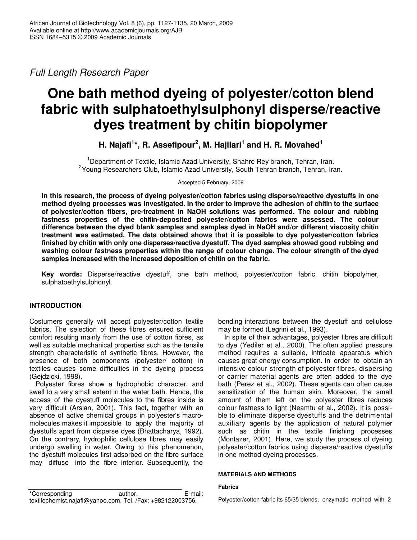*Full Length Research Paper*

# **One bath method dyeing of polyester/cotton blend fabric with sulphatoethylsulphonyl disperse/reactive dyes treatment by chitin biopolymer**

**H. Najafi 1 \*, R. Assefipour 2 , M. Hajilari 1 and H. R. Movahed 1**

<sup>1</sup>Department of Textile, Islamic Azad University, Shahre Rey branch, Tehran, Iran. <sup>2</sup>Young Researchers Club, Islamic Azad University, South Tehran branch, Tehran, Iran.

Accepted 5 February, 2009

**In this research, the process of dyeing polyester/cotton fabrics using disperse/reactive dyestuffs in one method dyeing processes was investigated. In the order to improve the adhesion of chitin to the surface of polyester/cotton fibers, pre-treatment in NaOH solutions was performed. The colour and rubbing fastness properties of the chitin-deposited polyester/cotton fabrics were assessed. The colour difference between the dyed blank samples and samples dyed in NaOH and/or different viscosity chitin treatment was estimated. The data obtained shows that it is possible to dye polyester/cotton fabrics finished by chitin with only one disperses/reactive dyestuff. The dyed samples showed good rubbing and washing colour fastness properties within the range of colour change. The colour strength of the dyed samples increased with the increased deposition of chitin on the fabric.**

**Key words:** Disperse/reactive dyestuff, one bath method, polyester/cotton fabric, chitin biopolymer, sulphatoethylsulphonyl.

## **INTRODUCTION**

Costumers generally will accept polyester/cotton textile fabrics. The selection of these fibres ensured sufficient comfort resulting mainly from the use of cotton fibres, as well as suitable mechanical properties such as the tensile strength characteristic of synthetic fibres. However, the presence of both components (polyester/ cotton) in textiles causes some difficulties in the dyeing process (Gejdzicki, 1998).

Polyester fibres show a hydrophobic character, and swell to a very small extent in the water bath. Hence, the access of the dyestuff molecules to the fibres inside is very difficult (Arslan, 2001). This fact, together with an absence of active chemical groups in polyester's macromolecules makes it impossible to apply the majority of dyestuffs apart from disperse dyes (Bhattacharya, 1992). On the contrary, hydrophilic cellulose fibres may easily undergo swelling in water. Owing to this phenomenon, the dyestuff molecules first adsorbed on the fibre surface may diffuse into the fibre interior. Subsequently, the

bonding interactions between the dyestuff and cellulose may be formed (Legrini et al., 1993).

In spite of their advantages, polyester fibres are difficult to dye (Yediler et al., 2000). The often applied pressure method requires a suitable, intricate apparatus which causes great energy consumption. In order to obtain an intensive colour strength of polyester fibres, dispersing or carrier material agents are often added to the dye bath (Perez et al., 2002). These agents can often cause sensitization of the human skin. Moreover, the small amount of them left on the polyester fibres reduces colour fastness to light (Neamtu et al., 2002). It is possible to eliminate disperse dyestuffs and the detrimental auxiliary agents by the application of natural polymer such as chitin in the textile finishing processes (Montazer, 2001). Here, we study the process of dyeing polyester/cotton fabrics using disperse/reactive dyestuffs in one method dyeing processes.

## **MATERIALS AND METHODS**

#### **Fabrics**

Polyester/cotton fabric its 65/35 blends, enzymatic method with 2

<sup>\*</sup>Corresponding author. E-mail: textilechemist.najafi@yahoo.com. Tel. /Fax: +982122003756.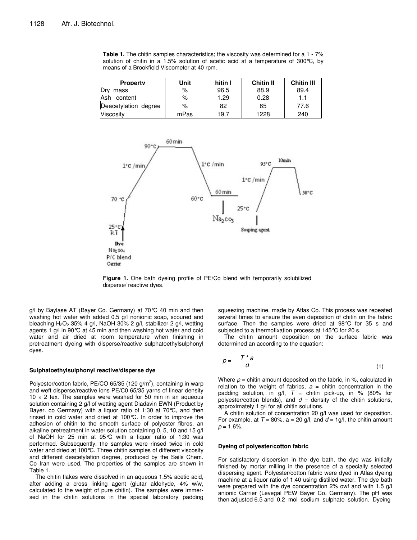**Table 1.** The chitin samples characteristics; the viscosity was determined for a 1 - 7% solution of chitin in a 1.5% solution of acetic acid at a temperature of 300 $\degree$ C, by means of a Brookfield Viscometer at 40 rpm.

| <b>Property</b>      | Unit | hitin I | <b>Chitin II</b> | <b>Chitin III</b> |
|----------------------|------|---------|------------------|-------------------|
| Drv<br>mass          | %    | 96.5    | 88.9             | 89.4              |
| Ash content          | %    | 1.29    | 0.28             | 1.1               |
| Deacetylation degree | %    | 82      | 65               | 77.6              |
| Viscosity            | mPas | 19.7    | 1228             | 240               |



**Figure .** One bath dyeing profile of PE/Co blend with temporarily solubilized disperse/ reactive dyes.

g/l by Baylase AT (Bayer Co. Germany) at 70°C 40 min and then washing hot water with added 0.5 g/l nonionic soap, scoured and bleaching  $H_2O_2$  35% 4 g/l, NaOH 30% 2 g/l, stabilizer 2 g/l, wetting agents 1 g/l in 90°C at 45 min and then washing hot water and cold water and air dried at room temperature when finishing in pretreatment dyeing with disperse/reactive sulphatoethylsulphonyl dyes.

#### **Sulphatoethylsulphonyl reactive/disperse dye**

Polyester/cotton fabric, PE/CO 65/35 (120 g/m<sup>2</sup>), containing in warp and weft disperse/reactive ions PE/C0 65/35 yarns of linear density  $10 \times 2$  tex. The samples were washed for 50 min in an aqueous solution containing 2 g/l of wetting agent Diadavin EWN (Product by Bayer. co Germany) with a liquor ratio of 1:30 at 70°C, and then rinsed in cold water and dried at 100°C. In order to improve the adhesion of chitin to the smooth surface of polyester fibres, an alkaline pretreatment in water solution containing 0, 5, 10 and 15 g/l of NaOH for 25 min at 95°C with a liquor ratio of 1:30 was performed. Subsequently, the samples were rinsed twice in cold water and dried at 100°C. Three chitin samples of different viscosity and different deacetylation degree, produced by the Sails Chem. Co Iran were used. The properties of the samples are shown in Table 1.

The chitin flakes were dissolved in an aqueous 1.5% acetic acid, after adding a cross linking agent (glutar aldehyde, 4% w/w, calculated to the weight of pure chitin). The samples were immersed in the chitin solutions in the special laboratory padding

squeezing machine, made by Atlas Co. This process was repeated several times to ensure the even deposition of chitin on the fabric surface. Then the samples were dried at 98°C for 35 s and subjected to a thermofixation process at 145°C for 20 s.

The chitin amount deposition on the surface fabric was determined an according to the equation:

$$
p = \frac{T^*a}{d} \tag{1}
$$

Where  $p =$  chitin amount deposited on the fabric, in %, calculated in relation to the weight of fabrics,  $a =$  chitin concentration in the padding solution, in  $g/l$ ,  $T =$  chitin pick-up, in % (80% for polyester/cotton blends), and  $d =$  density of the chitin solutions, approximately 1 g/l for all chitin solutions.

A chitin solution of concentration 20 g/l was used for deposition. For example, at  $T = 80\%$ , a = 20 g/l, and  $d = 1$ g/l, the chitin amount  $p = 1.6%$ .

#### **Dyeing of polyester/cotton fabric**

For satisfactory dispersion in the dye bath, the dye was initially finished by mortar milling in the presence of a specially selected dispersing agent. Polyester/cotton fabric were dyed in Atlas dyeing machine at a liquor ratio of 1:40 using distilled water. The dye bath were prepared with the dye concentration 2% owf and with 1.5 g/l anionic Carrier (Levegal PEW Bayer Co. Germany). The pH was then adjusted 6.5 and 0.2 mol sodium sulphate solution. Dyeing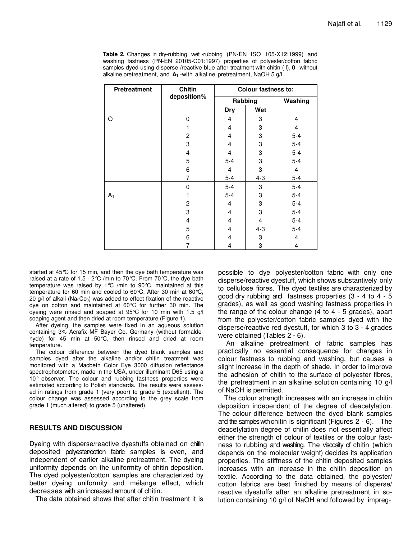**Table 2.** Changes in dry-rubbing, wet -rubbing (PN-EN ISO 105-X12:1999) and washing fastness (PN-EN 20105-C01:1997) properties of polyester/cotton fabric samples dyed using disperse /reactive blue after treatment with chitin ( I), **0** - without alkaline pretreatment, and **A<sup>1</sup>** -with alkaline pretreatment, NaOH 5 g/l.

| Pretreatment | Chitin         | <b>Colour fastness to:</b> |         |         |  |
|--------------|----------------|----------------------------|---------|---------|--|
|              | deposition%    |                            | Rabbing | Washing |  |
|              |                | <b>Dry</b>                 | Wet     |         |  |
| O            | 0              | 4                          | 3       | 4       |  |
|              |                | $\overline{4}$             | 3       | 4       |  |
|              | $\overline{c}$ | 4                          | 3       | $5 - 4$ |  |
|              | 3              | 4                          | 3       | $5-4$   |  |
|              | 4              | 4                          | 3       | $5 - 4$ |  |
|              | 5              | $5 - 4$                    | 3       | $5-4$   |  |
|              | 6              | $\overline{4}$             | 3       | 4       |  |
|              | 7              | $5-4$                      | $4 - 3$ | $5 - 4$ |  |
|              | $\Omega$       | $5-4$                      | 3       | $5-4$   |  |
| $A_1$        |                | $5-4$                      | 3       | $5 - 4$ |  |
|              | $\overline{c}$ | 4                          | 3       | $5-4$   |  |
|              | 3              | 4                          | 3       | $5 - 4$ |  |
|              | 4              | 4                          | 4       | $5 - 4$ |  |
|              | 5              | 4                          | $4 - 3$ | $5 - 4$ |  |
|              | 6              | 4                          | 3       | 4       |  |
|              | 7              | 4                          | 3       | 4       |  |

started at 45°C for 15 min, and then the dye bath temperature was raised at a rate of 1.5 - 2°C /min to 70°C. From 70°C, the dye bath temperature was raised by 1°C /min to 90°C, maintained at this temperature for 60 min and cooled to 60°C. After 30 min at 60°C, 20 g/l of alkali ( $Na<sub>2</sub>Co<sub>3</sub>$ ) was added to effect fixation of the reactive dye on cotton and maintained at 60°C for further 30 min. The dyeing were rinsed and soaped at 95°C for 10 min with 1.5 g/l soaping agent and then dried at room temperature (Figure 1).

After dyeing, the samples were fixed in an aqueous solution containing 3% Acrafix MF Bayer Co. Germany (without formaldehyde) for 45 min at 50°C, then rinsed and dried at room temperature.

The colour difference between the dyed blank samples and samples dyed after the alkaline and/or chitin treatment was monitored with a Macbeth Color Eye 3000 diffusion reflectance spectrophotometer, made in the USA, under illuminant D65 using a 10° observer. The colour and rubbing fastness properties were estimated according to Polish standards. The results were assessed in ratings from grade 1 (very poor) to grade 5 (excellent). The colour change was assessed according to the grey scale from grade 1 (much altered) to grade 5 (unaltered).

## **RESULTS AND DISCUSSION**

Dyeing with disperse/reactive dyestuffs obtained on chitin deposited polyester/cotton fabric samples is even, and independent of earlier alkaline pretreatment. The dyeing uniformity depends on the uniformity of chitin deposition. The dyed polyester/cotton samples are characterized by better dyeing uniformity and mélange effect, which decreases with an increased amount of chitin.

The data obtained shows that after chitin treatment it is

possible to dye polyester/cotton fabric with only one disperse/reactive dyestuff, which shows substantively only to cellulose fibres. The dyed textiles are characterized by good dry rubbing and fastness properties (3 - 4 to 4 - 5 grades), as well as good washing fastness properties in the range of the colour change (4 to 4 - 5 grades), apart from the polyester/cotton fabric samples dyed with the disperse/reactive red dyestuff, for which 3 to 3 - 4 grades were obtained (Tables 2 - 6).

An alkaline pretreatment of fabric samples has practically no essential consequence for changes in colour fastness to rubbing and washing, but causes a slight increase in the depth of shade. In order to improve the adhesion of chitin to the surface of polyester fibres, the pretreatment in an alkaline solution containing 10 g/l of NaOH is permitted.

The colour strength increases with an increase in chitin deposition independent of the degree of deacetylation. The colour difference between the dyed blank samples and the sampleswithchitin is significant (Figures 2 - 6). The deacetylation degree of chitin does not essentially affect either the strength of colour of textiles or the colour fastness to rubbing and washing. The viscosity of chitin (which depends on the molecular weight) decides its application properties. The stiffness of the chitin deposited samples increases with an increase in the chitin deposition on textile. According to the data obtained, the polyester/ cotton fabrics are best finished by means of disperse/ reactive dyestuffs after an alkaline pretreatment in solution containing 10 g/l of NaOH and followed by impreg-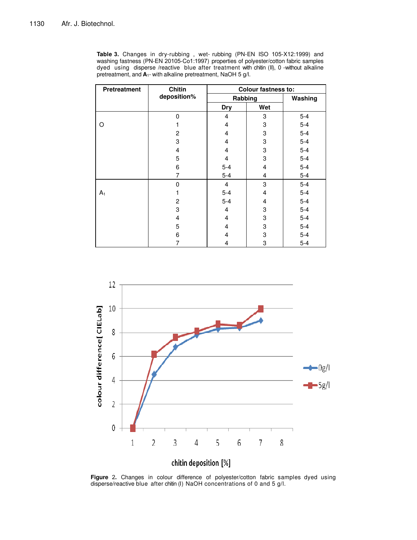Table 3. Changes in dry-rubbing, wet- rubbing (PN-EN ISO 105-X12:1999) and washing fastness (PN-EN 20105-Co1:1997) properties of polyester/cotton fabric samples dyed using disperse /reactive blue after treatment with chitin (II), 0 -without alkaline pretreatment, and  $A_1$ - with alkaline pretreatment, NaOH 5 g/l.

| Pretreatment | <b>Chitin</b>  | <b>Colour fastness to:</b> |                           |         |  |
|--------------|----------------|----------------------------|---------------------------|---------|--|
|              | deposition%    | Rabbing                    | Washing                   |         |  |
|              |                | <b>Dry</b>                 | Wet                       |         |  |
|              | 0              | 4                          | 3                         | $5 - 4$ |  |
| O            |                | 4                          | 3                         | $5 - 4$ |  |
|              | $\overline{c}$ | 4                          | 3                         | $5-4$   |  |
|              | 3              | 4                          | 3                         | $5-4$   |  |
|              | $\overline{4}$ | 4                          | 3                         | $5-4$   |  |
|              | 5              | 4                          | 3                         | $5-4$   |  |
|              | 6              | $5 - 4$                    | $\overline{4}$            | $5-4$   |  |
|              | 7              | $5-4$                      | 4                         | $5-4$   |  |
|              | $\mathbf 0$    | $\overline{4}$             | 3                         | $5-4$   |  |
| $A_1$        |                | $5 - 4$                    | 4                         | $5-4$   |  |
|              | $\overline{2}$ | $5-4$                      | 4                         | $5 - 4$ |  |
|              | 3              | 4                          | 3                         | $5 - 4$ |  |
|              | 4              | 4                          | $\ensuremath{\mathsf{3}}$ | $5 - 4$ |  |
|              | 5              | 4                          | $\ensuremath{\mathsf{3}}$ | $5 - 4$ |  |
|              | 6              | $\overline{4}$             | 3                         | $5-4$   |  |
|              | 7              | 4                          | 3                         | $5-4$   |  |



**Figure .** Changes in colour difference of polyester/cotton fabric samples dyed using disperse/reactive blue after chitin (I) NaOH concentrations of 0 and 5 g/l.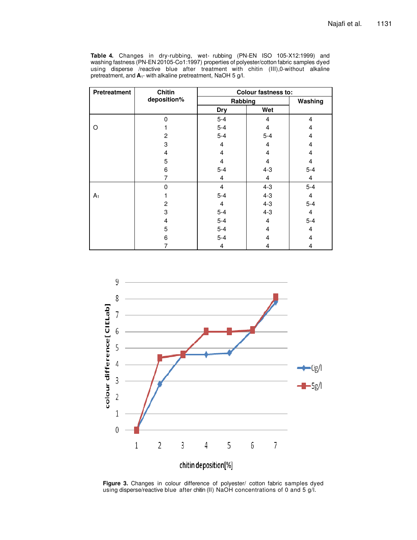Table 4. Changes in dry-rubbing, wet- rubbing (PN-EN ISO 105-X12:1999) and washing fastness (PN-EN 20105-Co1:1997) properties of polyester/cotton fabric samples dyed using disperse /reactive blue after treatment with chitin (III),0-without alkaline pretreatment, and  $A_1$ - with alkaline pretreatment, NaOH 5 g/l.

| <b>Pretreatment</b> | <b>Chitin</b>  | <b>Colour fastness to:</b> |                |                         |
|---------------------|----------------|----------------------------|----------------|-------------------------|
|                     | deposition%    | Rabbing                    |                | Washing                 |
|                     |                | <b>Dry</b>                 | Wet            |                         |
|                     | 0              | $5-4$                      | 4              | $\overline{4}$          |
| O                   |                | $5-4$                      | 4              | 4                       |
|                     | $\overline{2}$ | $5-4$                      | $5 - 4$        | 4                       |
|                     | 3              | $\overline{4}$             | 4              | $\overline{4}$          |
|                     | 4              | 4                          | 4              | $\overline{4}$          |
|                     | 5              | 4                          | 4              | $\overline{4}$          |
|                     | 6              | $5 - 4$                    | $4 - 3$        | $5 - 4$                 |
|                     | 7              | 4                          | 4              | $\overline{\mathbf{4}}$ |
|                     | $\Omega$       | $\overline{4}$             | $4 - 3$        | $5 - 4$                 |
| $A_1$               |                | $5-4$                      | $4 - 3$        | $\overline{\mathbf{4}}$ |
|                     | $\overline{c}$ | $\overline{4}$             | $4 - 3$        | $5-4$                   |
|                     | 3              | $5-4$                      | $4 - 3$        | $\overline{\mathbf{4}}$ |
|                     | 4              | $5-4$                      | $\overline{4}$ | $5-4$                   |
|                     | 5              | $5-4$                      | $\overline{4}$ | 4                       |
|                     | 6              | $5-4$                      | 4              | $\overline{4}$          |
|                     | 7              | 4                          | 4              | 4                       |



**Figure 3.** Changes in colour difference of polyester/ cotton fabric samples dyed using disperse/reactive blue after chitin (II) NaOH concentrations of 0 and 5 g/l.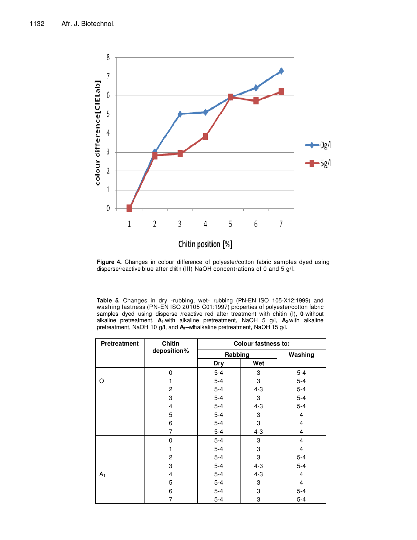

**Figure 4.** Changes in colour difference of polyester/cotton fabric samples dyed using disperse/reactive blue after chitin (III) NaOH concentrations of 0 and 5 g/l.

**Table 5.** Changes in dry -rubbing, wet- rubbing (PN-EN ISO 105-X12:1999) and washing fastness (PN-EN ISO 20105 C01:1997) properties of polyester/cotton fabric samples dyed using disperse /reactive red after treatment with chitin (I), **0**-without alkaline pretreatment, **A1**-with alkaline pretreatment, NaOH 5 g/l, **A2**-with alkaline pretreatment, NaOH 10 g/l, and **A3**–withalkaline pretreatment, NaOH 15 g/l.

| Pretreatment   | <b>Chitin</b>  | <b>Colour fastness to:</b> |         |         |
|----------------|----------------|----------------------------|---------|---------|
|                | deposition%    | Rabbing                    |         | Washing |
|                |                | <b>Dry</b>                 | Wet     |         |
|                | 0              | $5 - 4$                    | 3       | $5 - 4$ |
| O              | 1              | $5 - 4$                    | 3       | $5-4$   |
|                | $\overline{c}$ | $5-4$                      | $4 - 3$ | $5-4$   |
|                | 3              | $5 - 4$                    | 3       | $5 - 4$ |
|                | 4              | $5-4$                      | $4 - 3$ | $5-4$   |
|                | 5              | $5 - 4$                    | 3       | 4       |
|                | 6              | $5 - 4$                    | 3       | 4       |
|                | 7              | $5 - 4$                    | $4 - 3$ | 4       |
|                | 0              | $5 - 4$                    | 3       | 4       |
|                | 1              | $5 - 4$                    | 3       | 4       |
|                | $\overline{c}$ | $5 - 4$                    | 3       | $5-4$   |
|                | 3              | $5 - 4$                    | $4 - 3$ | $5-4$   |
| A <sub>1</sub> | 4              | $5 - 4$                    | $4 - 3$ | 4       |
|                | 5              | $5 - 4$                    | 3       | 4       |
|                | 6              | $5 - 4$                    | 3       | $5 - 4$ |
|                | 7              | $5-4$                      | 3       | $5-4$   |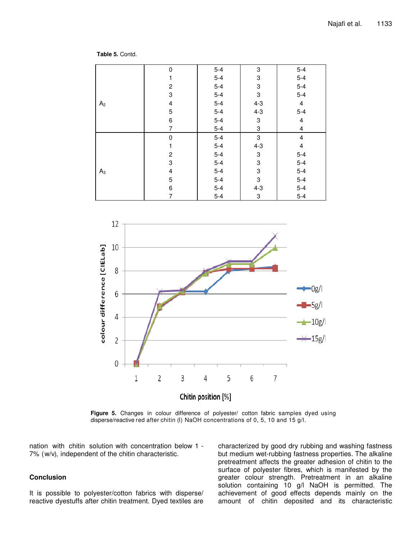**Table 5.** Contd.

|                | 0                       | $5-4$ | 3                         | $5-4$                   |
|----------------|-------------------------|-------|---------------------------|-------------------------|
|                | 1                       | $5-4$ | 3                         | $5-4$                   |
|                | $\overline{\mathbf{c}}$ | $5-4$ | 3                         | $5-4$                   |
|                | 3                       | $5-4$ | $\ensuremath{\mathsf{3}}$ | $5-4$                   |
| A <sub>2</sub> | $\overline{\mathbf{4}}$ | $5-4$ | $4 - 3$                   | $\overline{4}$          |
|                | $\mathbf 5$             | $5-4$ | $4 - 3$                   | $5-4$                   |
|                | 6                       | $5-4$ | 3                         | $\overline{\mathbf{4}}$ |
|                | $\overline{7}$          | $5-4$ | 3                         | $\overline{\mathbf{4}}$ |
|                | $\pmb{0}$               | $5-4$ | $\ensuremath{\mathsf{3}}$ | $\overline{\mathbf{4}}$ |
|                | 1                       | $5-4$ | $4 - 3$                   | $\overline{\mathbf{4}}$ |
|                | $\overline{c}$          | $5-4$ | 3                         | $5 - 4$                 |
|                | 3                       | $5-4$ | 3                         | $5-4$                   |
| $A_3$          | 4                       | $5-4$ | 3                         | $5-4$                   |
|                | 5                       | $5-4$ | $\mathsf 3$               | $5-4$                   |
|                | 6                       | $5-4$ | $4 - 3$                   | $5-4$                   |
|                | 7                       | $5-4$ | 3                         | $5-4$                   |



**Figure 5.** Changes in colour difference of polyester/ cotton fabric samples dyed using disperse/reactive red after chitin (I) NaOH concentrations of 0, 5, 10 and 15 g/l.

nation with chitin solution with concentration below 1 - 7% (w/v), independent of the chitin characteristic.

### **Conclusion**

It is possible to polyester/cotton fabrics with disperse/ reactive dyestuffs after chitin treatment. Dyed textiles are characterized by good dry rubbing and washing fastness but medium wet-rubbing fastness properties. The alkaline pretreatment affects the greater adhesion of chitin to the surface of polyester fibres, which is manifested by the greater colour strength. Pretreatment in an alkaline solution containing 10 g/l NaOH is permitted. The achievement of good effects depends mainly on the amount of chitin deposited and its characteristic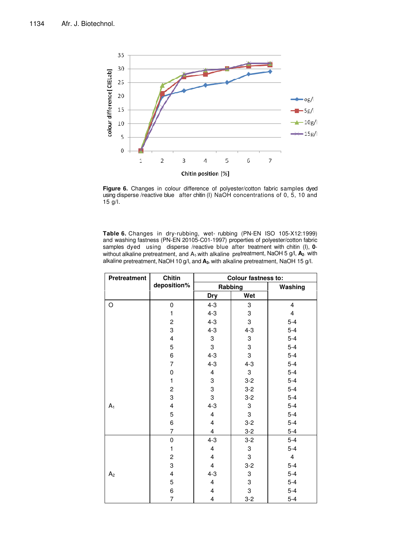

**Figure 6.** Changes in colour difference of polyester/cotton fabric samples dyed using disperse /reactive blue after chitin (I) NaOH concentrations of 0, 5, 10 and g/l.

**Table 6.** Changes in dry-rubbing, wet- rubbing (PN-EN ISO 105-X12:1999) and washing fastness (PN-EN 20105-C01-1997) properties of polyester/cotton fabric samples dyed using disperse /reactive blue after treatment with chitin (I), 0without alkaline pretreatment, and A1-with alkaline pretreatment, NaOH 5 g/l, **A2**- with alkaline pretreatment, NaOH 10 g/l, and **A3-** with alkaline pretreatment, NaOH 15 g/l.

| <b>Pretreatment</b> | <b>Chitin</b>           | Colour fastness to:     |         |                         |  |
|---------------------|-------------------------|-------------------------|---------|-------------------------|--|
|                     | deposition%             |                         | Rabbing | Washing                 |  |
|                     |                         | <b>Dry</b>              | Wet     |                         |  |
| O                   | 0                       | $4 - 3$                 | 3       | 4                       |  |
|                     | 1                       | $4 - 3$                 | 3       | $\overline{\mathbf{4}}$ |  |
|                     | $\boldsymbol{2}$        | $4 - 3$                 | 3       | $5-4$                   |  |
|                     | 3                       | $4 - 3$                 | $4 - 3$ | $5-4$                   |  |
|                     | $\overline{\mathbf{4}}$ | 3                       | 3       | $5-4$                   |  |
|                     | 5                       | 3                       | 3       | $5-4$                   |  |
|                     | 6                       | $4 - 3$                 | 3       | $5 - 4$                 |  |
|                     | $\overline{7}$          | $4 - 3$                 | $4 - 3$ | $5-4$                   |  |
|                     | 0                       | $\overline{\mathbf{4}}$ | 3       | $5-4$                   |  |
|                     | 1                       | 3                       | $3-2$   | $5-4$                   |  |
|                     | $\overline{c}$          | 3                       | $3-2$   | $5-4$                   |  |
|                     | 3                       | 3                       | $3-2$   | $5-4$                   |  |
| $A_1$               | 4                       | $4 - 3$                 | 3       | $5-4$                   |  |
|                     | 5                       | $\overline{\mathbf{4}}$ | 3       | $5 - 4$                 |  |
|                     | 6                       | $\overline{\mathbf{4}}$ | $3-2$   | $5-4$                   |  |
|                     | $\overline{7}$          | $\overline{\mathbf{4}}$ | $3 - 2$ | $5 - 4$                 |  |
|                     | $\mathbf 0$             | $4 - 3$                 | $3-2$   | $5-4$                   |  |
|                     | 1                       | $\overline{\mathbf{4}}$ | 3       | $5-4$                   |  |
|                     | $\overline{c}$          | $\overline{\mathbf{4}}$ | 3       | $\overline{\mathbf{4}}$ |  |
|                     | 3                       | $\overline{\mathbf{4}}$ | $3-2$   | $5-4$                   |  |
| A <sub>2</sub>      | 4                       | $4 - 3$                 | 3       | $5-4$                   |  |
|                     | 5                       | $\overline{\mathbf{4}}$ | 3       | $5-4$                   |  |
|                     | 6                       | 4                       | 3       | $5-4$                   |  |
|                     | $\overline{7}$          | $\overline{\mathbf{4}}$ | $3 - 2$ | $5 - 4$                 |  |